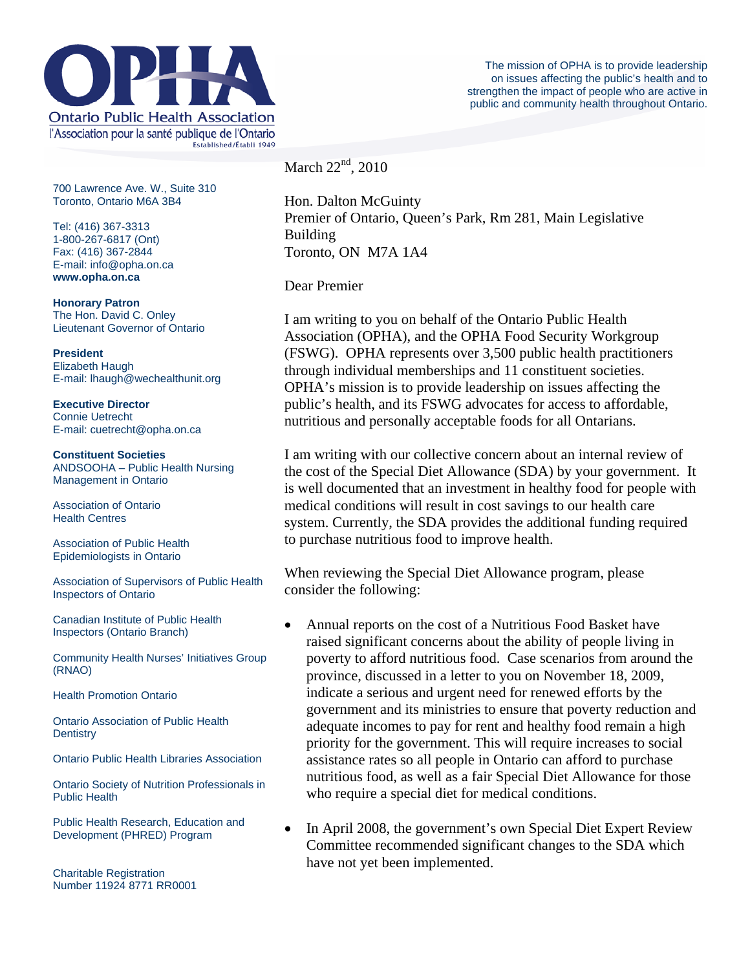

700 Lawrence Ave. W., Suite 310 Toronto, Ontario M6A 3B4

Tel: (416) 367-3313 1-800-267-6817 (Ont) Fax: (416) 367-2844 E-mail: info@opha.on.ca **www.opha.on.ca** 

**Honorary Patron**  The Hon. David C. Onley Lieutenant Governor of Ontario

**President**  Elizabeth Haugh E-mail: lhaugh@wechealthunit.org

**Executive Director**  Connie Uetrecht E-mail: cuetrecht@opha.on.ca

**Constituent Societies**  ANDSOOHA – Public Health Nursing Management in Ontario

Association of Ontario Health Centres

Association of Public Health Epidemiologists in Ontario

Association of Supervisors of Public Health Inspectors of Ontario

Canadian Institute of Public Health Inspectors (Ontario Branch)

Community Health Nurses' Initiatives Group (RNAO)

Health Promotion Ontario

Ontario Association of Public Health **Dentistry** 

Ontario Public Health Libraries Association

Ontario Society of Nutrition Professionals in Public Health

Public Health Research, Education and Development (PHRED) Program

Charitable Registration Number 11924 8771 RR0001 March  $22<sup>nd</sup>$ , 2010

Hon. Dalton McGuinty Premier of Ontario, Queen's Park, Rm 281, Main Legislative Building Toronto, ON M7A 1A4

Dear Premier

I am writing to you on behalf of the Ontario Public Health Association (OPHA), and the OPHA Food Security Workgroup (FSWG). OPHA represents over 3,500 public health practitioners through individual memberships and 11 constituent societies. OPHA's mission is to provide leadership on issues affecting the public's health, and its FSWG advocates for access to affordable, nutritious and personally acceptable foods for all Ontarians.

I am writing with our collective concern about an internal review of the cost of the Special Diet Allowance (SDA) by your government. It is well documented that an investment in healthy food for people with medical conditions will result in cost savings to our health care system. Currently, the SDA provides the additional funding required to purchase nutritious food to improve health.

When reviewing the Special Diet Allowance program, please consider the following:

- Annual reports on the cost of a Nutritious Food Basket have raised significant concerns about the ability of people living in poverty to afford nutritious food. Case scenarios from around the province, discussed in a letter to you on November 18, 2009, indicate a serious and urgent need for renewed efforts by the government and its ministries to ensure that poverty reduction and adequate incomes to pay for rent and healthy food remain a high priority for the government. This will require increases to social assistance rates so all people in Ontario can afford to purchase nutritious food, as well as a fair Special Diet Allowance for those who require a special diet for medical conditions.
- In April 2008, the government's own Special Diet Expert Review Committee recommended significant changes to the SDA which have not yet been implemented.